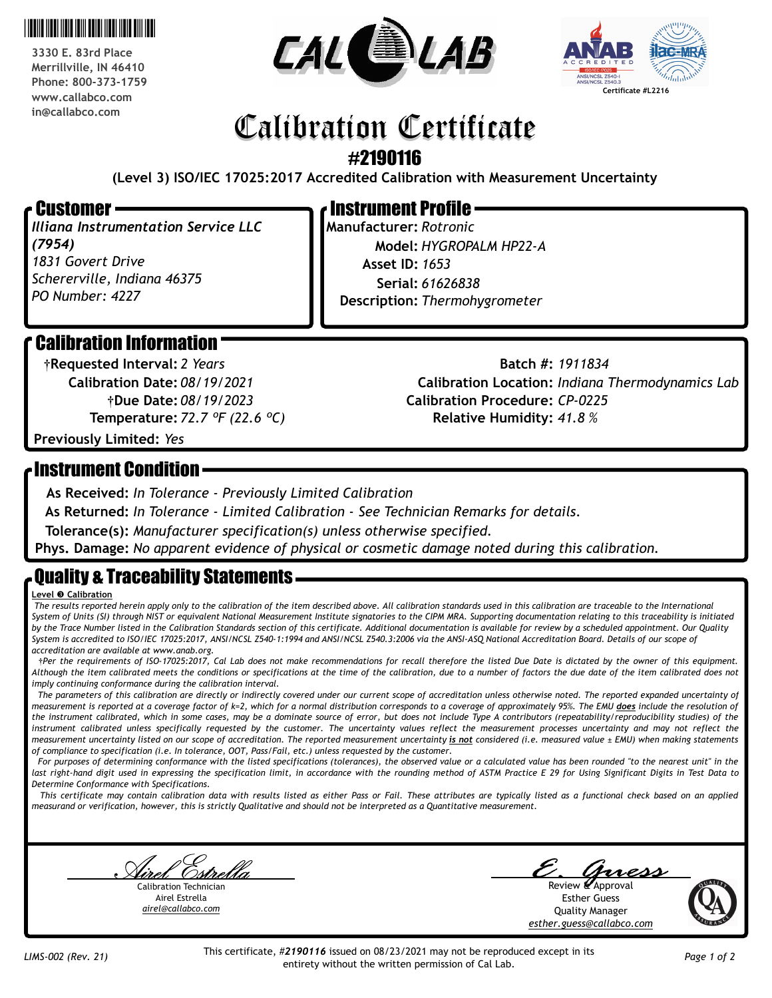

**3330 E. 83rd Place Merrillville, IN 46410 Phone: 800-373-1759 www.callabco.com in@callabco.com**





# Calibration Certificate

#2190116

**(Level 3) ISO/IEC 17025:2017 Accredited Calibration with Measurement Uncertainty**

### Customer

*Illiana Instrumentation Service LLC (7954) 1831 Govert Drive Schererville, Indiana 46375 PO Number: 4227*

# Instrument Profile

**Manufacturer:** *Rotronic* **Model:** *HYGROPALM HP22-A* **Description:** *Thermohygrometer* **Serial:** *61626838* **Asset ID:** *1653*

# Calibration Information

**†Due Date:** *08/19/2023* **Calibration Date:** *08/19/2021* **Temperature:** *72.7 ºF (22.6 ºC)* **†Requested Interval:** *2 Years*

**Calibration Procedure:** *CP-0225* **Calibration Location:** *Indiana Thermodynamics Lab* **Relative Humidity:** *41.8 %* **Batch #:** *1911834*

**Previously Limited:** *Yes*

## Instrument Condition

**As Received:** *In Tolerance - Previously Limited Calibration*

**As Returned:** *In Tolerance - Limited Calibration - See Technician Remarks for details.*

**Tolerance(s):** *Manufacturer specification(s) unless otherwise specified.*

**Phys. Damage:** *No apparent evidence of physical or cosmetic damage noted during this calibration.*

# Quality & Traceability Statements

#### **Level © Calibration**

 *The results reported herein apply only to the calibration of the item described above. All calibration standards used in this calibration are traceable to the International System of Units (SI) through NIST or equivalent National Measurement Institute signatories to the CIPM MRA. Supporting documentation relating to this traceability is initiated by the Trace Number listed in the Calibration Standards section of this certificate. Additional documentation is available for review by a scheduled appointment. Our Quality System is accredited to ISO/IEC 17025:2017, ANSI/NCSL Z540-1:1994 and ANSI/NCSL Z540.3:2006 via the ANSI-ASQ National Accreditation Board. Details of our scope of accreditation are available at www.anab.org.*

 **†***Per the requirements of ISO-17025:2017, Cal Lab does not make recommendations for recall therefore the listed Due Date is dictated by the owner of this equipment. Although the item calibrated meets the conditions or specifications at the time of the calibration, due to a number of factors the due date of the item calibrated does not imply continuing conformance during the calibration interval.* 

The parameters of this calibration are directly or indirectly covered under our current scope of accreditation unless otherwise noted. The reported expanded uncertainty of *measurement is reported at a coverage factor of k=2, which for a normal distribution corresponds to a coverage of approximately 95%. The EMU does include the resolution of the instrument calibrated, which in some cases, may be a dominate source of error, but does not include Type A contributors (repeatability/reproducibility studies) of the*  instrument calibrated unless specifically requested by the customer. The uncertainty values reflect the measurement processes uncertainty and may not reflect the *measurement uncertainty listed on our scope of accreditation. The reported measurement uncertainty is not considered (i.e. measured value ± EMU) when making statements of compliance to specification (i.e. In tolerance, OOT, Pass/Fail, etc.) unless requested by the customer.*

For purposes of determining conformance with the listed specifications (tolerances), the observed value or a calculated value has been rounded "to the nearest unit" in the last right-hand digit used in expressing the specification limit, in accordance with the rounding method of ASTM Practice E 29 for Using Significant Digits in Test Data to *Determine Conformance with Specifications.*

 *This certificate may contain calibration data with results listed as either Pass or Fail. These attributes are typically listed as a functional check based on an applied measurand or verification, however, this is strictly Qualitative and should not be interpreted as a Quantitative measurement.*

g<br>1<u>. Estrella</u> [Calibration Technician](mailto:quality@callabco.com)

Airel Estrella *airel@callabco.com*

Review *L*Approval Esther Guess

Quality Manager *[esther.guess@callabco.com](mailto:quality@callabco.com)*



This certificate, #*2190116* issued on 08/23/2021 may not be reproduced except in its entirety without the written permission of Cal Lab. *LIMS-002 (Rev. 21) Page 1 of 2*